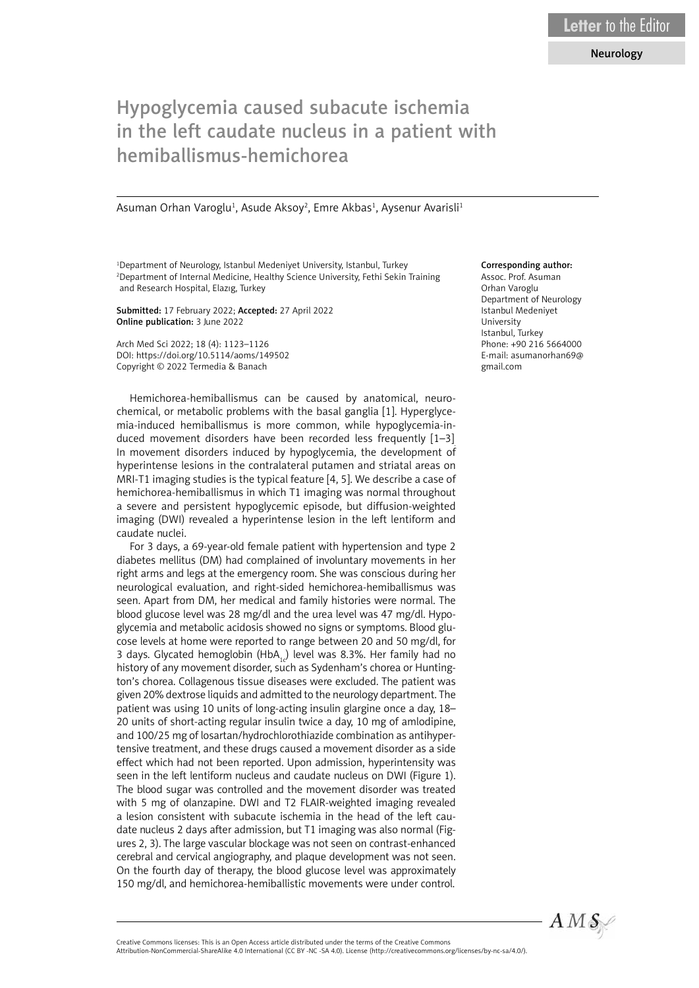## Neurology

## Hypoglycemia caused subacute ischemia in the left caudate nucleus in a patient with hemiballismus-hemichorea

Asuman Orhan Varoglu<sup>1</sup>, Asude Aksoy<sup>2</sup>, Emre Akbas<sup>1</sup>, Aysenur Avarisli<sup>1</sup>

<sup>1</sup>Department of Neurology, Istanbul Medeniyet University, Istanbul, Turkey 2 Department of Internal Medicine, Healthy Science University, Fethi Sekin Training and Research Hospital, Elazıg, Turkey

Submitted: 17 February 2022; Accepted: 27 April 2022 Online publication: 3 June 2022

Arch Med Sci 2022; 18 (4): 1123–1126 DOI: https://doi.org/10.5114/aoms/149502 Copyright © 2022 Termedia & Banach

Hemichorea-hemiballismus can be caused by anatomical, neurochemical, or metabolic problems with the basal ganglia [1]. Hyperglycemia-induced hemiballismus is more common, while hypoglycemia-induced movement disorders have been recorded less frequently [1–3]. In movement disorders induced by hypoglycemia, the development of hyperintense lesions in the contralateral putamen and striatal areas on MRI-T1 imaging studies is the typical feature [4, 5]. We describe a case of hemichorea-hemiballismus in which T1 imaging was normal throughout a severe and persistent hypoglycemic episode, but diffusion-weighted imaging (DWI) revealed a hyperintense lesion in the left lentiform and caudate nuclei.

For 3 days, a 69-year-old female patient with hypertension and type 2 diabetes mellitus (DM) had complained of involuntary movements in her right arms and legs at the emergency room. She was conscious during her neurological evaluation, and right-sided hemichorea-hemiballismus was seen. Apart from DM, her medical and family histories were normal. The blood glucose level was 28 mg/dl and the urea level was 47 mg/dl. Hypoglycemia and metabolic acidosis showed no signs or symptoms. Blood glucose levels at home were reported to range between 20 and 50 mg/dl, for 3 days. Glycated hemoglobin (HbA<sub>1</sub>) level was 8.3%. Her family had no history of any movement disorder, such as Sydenham's chorea or Huntington's chorea. Collagenous tissue diseases were excluded. The patient was given 20% dextrose liquids and admitted to the neurology department. The patient was using 10 units of long-acting insulin glargine once a day, 18– 20 units of short-acting regular insulin twice a day, 10 mg of amlodipine, and 100/25 mg of losartan/hydrochlorothiazide combination as antihypertensive treatment, and these drugs caused a movement disorder as a side effect which had not been reported. Upon admission, hyperintensity was seen in the left lentiform nucleus and caudate nucleus on DWI (Figure 1). The blood sugar was controlled and the movement disorder was treated with 5 mg of olanzapine. DWI and T2 FLAIR-weighted imaging revealed a lesion consistent with subacute ischemia in the head of the left caudate nucleus 2 days after admission, but T1 imaging was also normal (Figures 2, 3). The large vascular blockage was not seen on contrast-enhanced cerebral and cervical angiography, and plaque development was not seen. On the fourth day of therapy, the blood glucose level was approximately 150 mg/dl, and hemichorea-hemiballistic movements were under control.

## Corresponding author:

Assoc. Prof. Asuman Orhan Varoglu Department of Neurology Istanbul Medeniyet University Istanbul, Turkey Phone: +90 216 5664000 E-mail: asumanorhan69@ gmail.com



Attribution-NonCommercial-ShareAlike 4.0 International (CC BY -NC -SA 4.0). License (http://creativecommons.org/licenses/by-nc-sa/4.0/).

Creative Commons licenses: This is an Open Access article distributed under the terms of the Creative Commons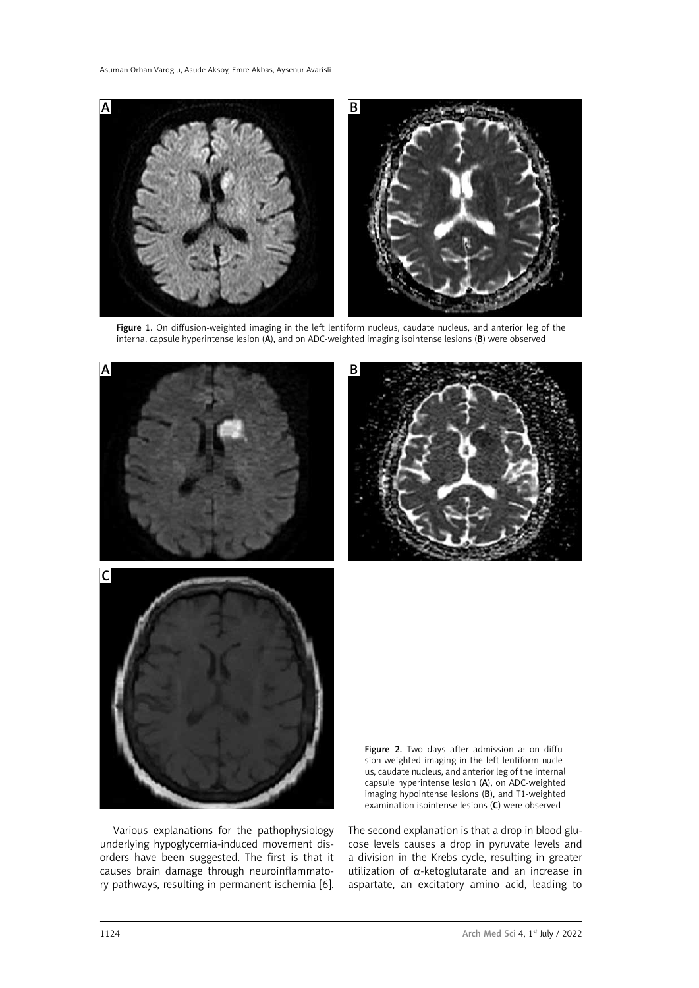

Figure 1. On diffusion-weighted imaging in the left lentiform nucleus, caudate nucleus, and anterior leg of the internal capsule hyperintense lesion (A), and on ADC-weighted imaging isointense lesions (B) were observed



Various explanations for the pathophysiology underlying hypoglycemia-induced movement disorders have been suggested. The first is that it causes brain damage through neuroinflammatory pathways, resulting in permanent ischemia [6].

examination isointense lesions (C) were observed

The second explanation is that a drop in blood glucose levels causes a drop in pyruvate levels and a division in the Krebs cycle, resulting in greater utilization of  $α$ -ketoglutarate and an increase in aspartate, an excitatory amino acid, leading to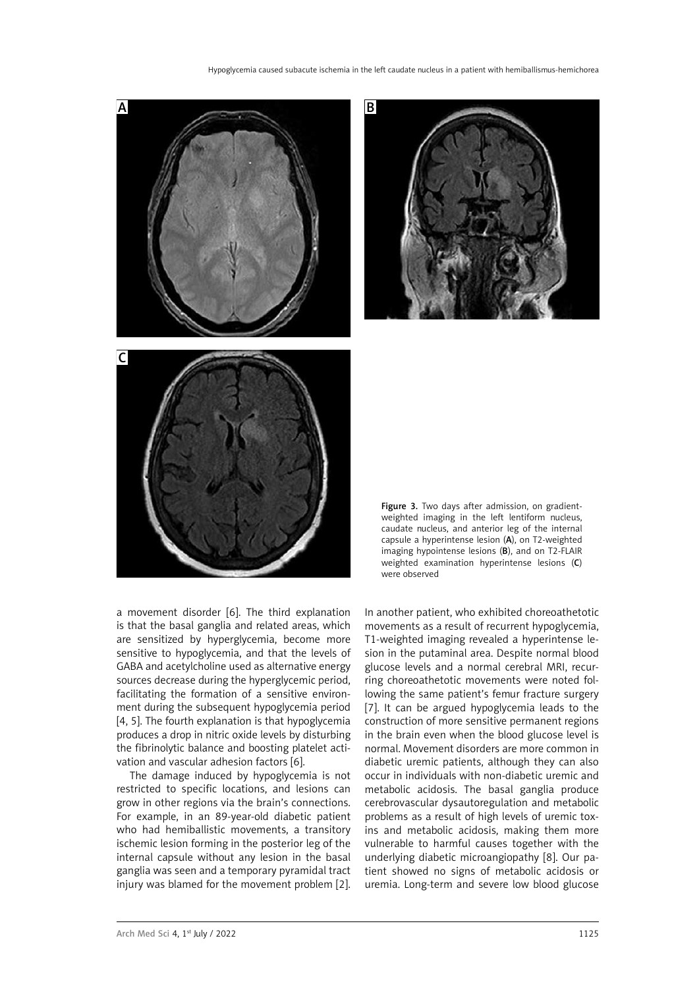Hypoglycemia caused subacute ischemia in the left caudate nucleus in a patient with hemiballismus-hemichorea



a movement disorder [6]. The third explanation is that the basal ganglia and related areas, which are sensitized by hyperglycemia, become more sensitive to hypoglycemia, and that the levels of GABA and acetylcholine used as alternative energy sources decrease during the hyperglycemic period, facilitating the formation of a sensitive environment during the subsequent hypoglycemia period [4, 5]. The fourth explanation is that hypoglycemia produces a drop in nitric oxide levels by disturbing the fibrinolytic balance and boosting platelet activation and vascular adhesion factors [6].

The damage induced by hypoglycemia is not restricted to specific locations, and lesions can grow in other regions via the brain's connections. For example, in an 89-year-old diabetic patient who had hemiballistic movements, a transitory ischemic lesion forming in the posterior leg of the internal capsule without any lesion in the basal ganglia was seen and a temporary pyramidal tract injury was blamed for the movement problem [2].

In another patient, who exhibited choreoathetotic movements as a result of recurrent hypoglycemia, T1-weighted imaging revealed a hyperintense lesion in the putaminal area. Despite normal blood glucose levels and a normal cerebral MRI, recurring choreoathetotic movements were noted following the same patient's femur fracture surgery [7]. It can be argued hypoglycemia leads to the construction of more sensitive permanent regions in the brain even when the blood glucose level is normal. Movement disorders are more common in diabetic uremic patients, although they can also occur in individuals with non-diabetic uremic and metabolic acidosis. The basal ganglia produce cerebrovascular dysautoregulation and metabolic problems as a result of high levels of uremic toxins and metabolic acidosis, making them more vulnerable to harmful causes together with the underlying diabetic microangiopathy [8]. Our patient showed no signs of metabolic acidosis or uremia. Long-term and severe low blood glucose